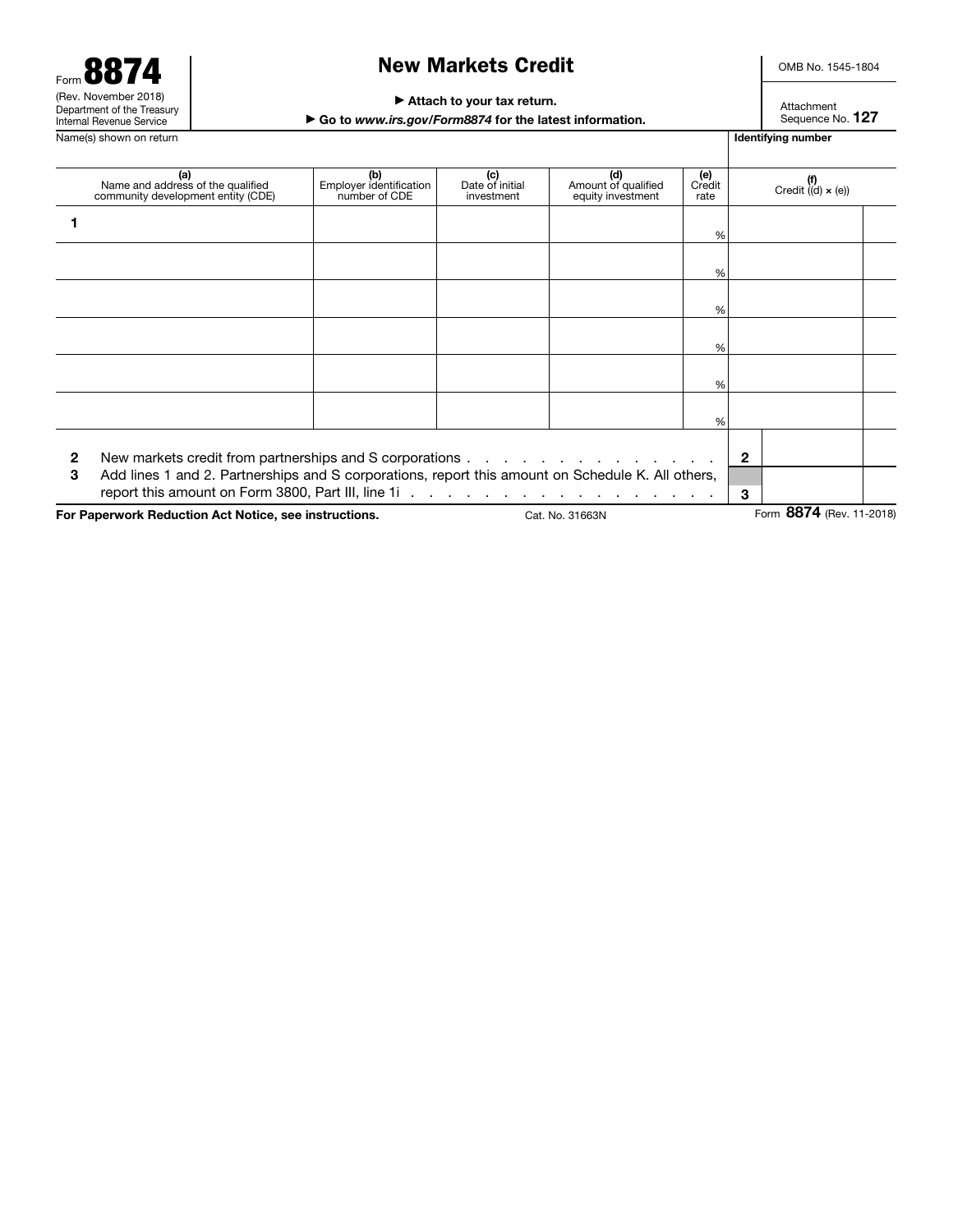| Form $\blacksquare$                                    |
|--------------------------------------------------------|
| (Rev. November 2018)                                   |
| Department of the Treasury<br>Internal Revenue Service |

## New Markets Credit

OMB No. 1545-1804

#### ▶ Attach to your tax return.

▶ Go to *www.irs.gov/Form8874* for the latest information.

Attachment Sequence No. 127

Name(s) shown on return International Library of The International Library of The International Library of The International Library of The International Library of The International Library of The International Library of (a)<br>Name and address of the qualified community development entity (CDE) (b)<br>Employer identification number of CDE (c) Date of initial investment (d)<br>Amount of qualified equity investment **(e)**<br>Credit rate (f) Credit ((d) × (e)) 1 % % % % % % 2 New markets credit from partnerships and S corporations . . . . . . . . . . . . . . . 2

3 Add lines 1 and 2. Partnerships and S corporations, report this amount on Schedule K. All others,

report this amount on Form 3800, Part III, line 1i . . . . . . . . . . . . . . . . . 3

For Paperwork Reduction Act Notice, see instructions. Cat. No. 31663N Form 8874 (Rev. 11-2018)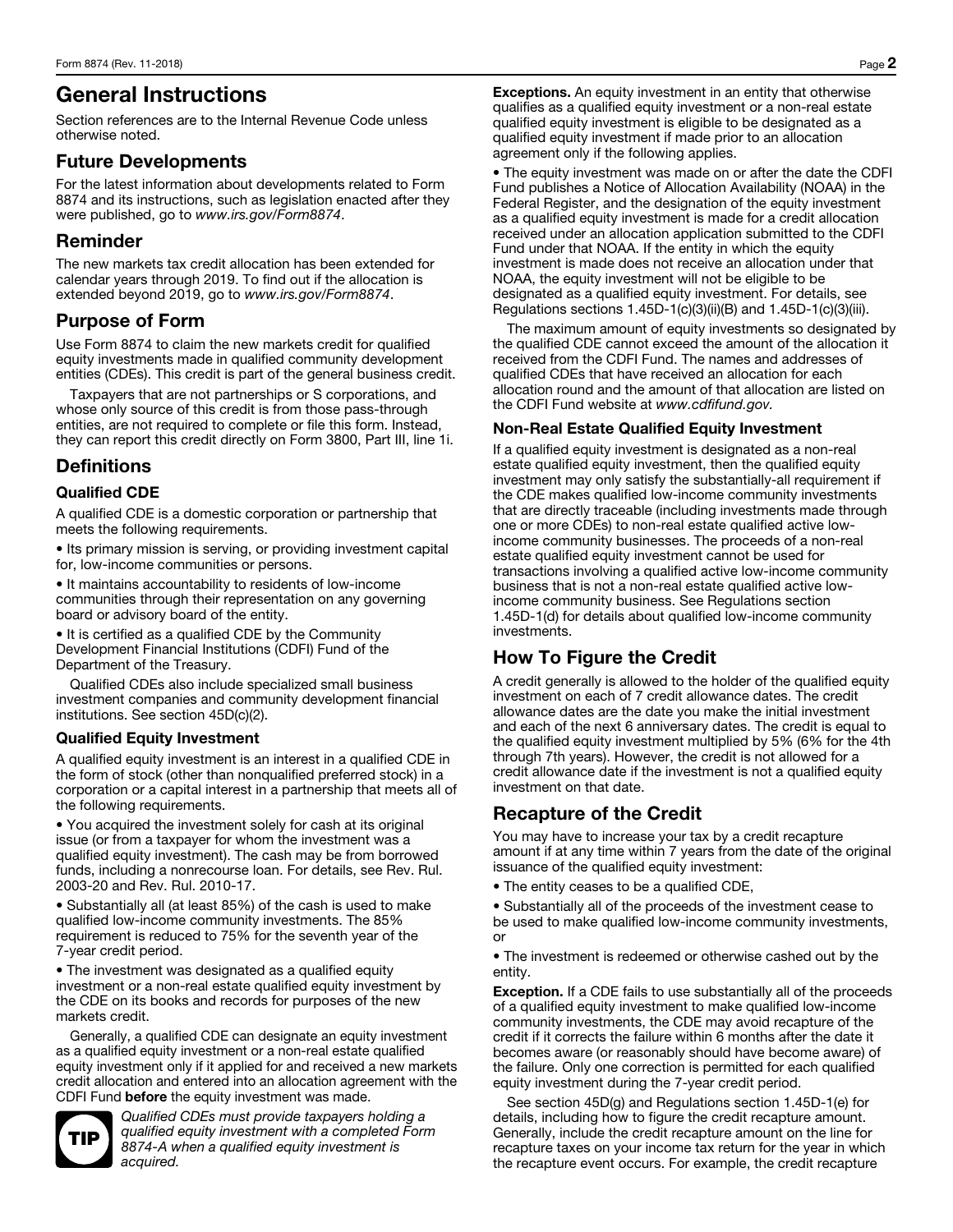# General Instructions

Section references are to the Internal Revenue Code unless otherwise noted.

## Future Developments

For the latest information about developments related to Form 8874 and its instructions, such as legislation enacted after they were published, go to *www.irs.gov/Form8874*.

### Reminder

The new markets tax credit allocation has been extended for calendar years through 2019. To find out if the allocation is extended beyond 2019, go to *www.irs.gov/Form8874*.

## Purpose of Form

Use Form 8874 to claim the new markets credit for qualified equity investments made in qualified community development entities (CDEs). This credit is part of the general business credit.

Taxpayers that are not partnerships or S corporations, and whose only source of this credit is from those pass-through entities, are not required to complete or file this form. Instead, they can report this credit directly on Form 3800, Part III, line 1i.

### **Definitions**

#### Qualified CDE

A qualified CDE is a domestic corporation or partnership that meets the following requirements.

• Its primary mission is serving, or providing investment capital for, low-income communities or persons.

• It maintains accountability to residents of low-income communities through their representation on any governing board or advisory board of the entity.

• It is certified as a qualified CDE by the Community Development Financial Institutions (CDFI) Fund of the Department of the Treasury.

Qualified CDEs also include specialized small business investment companies and community development financial institutions. See section 45D(c)(2).

#### Qualified Equity Investment

A qualified equity investment is an interest in a qualified CDE in the form of stock (other than nonqualified preferred stock) in a corporation or a capital interest in a partnership that meets all of the following requirements.

• You acquired the investment solely for cash at its original issue (or from a taxpayer for whom the investment was a qualified equity investment). The cash may be from borrowed funds, including a nonrecourse loan. For details, see Rev. Rul. 2003-20 and Rev. Rul. 2010-17.

• Substantially all (at least 85%) of the cash is used to make qualified low-income community investments. The 85% requirement is reduced to 75% for the seventh year of the 7-year credit period.

• The investment was designated as a qualified equity investment or a non-real estate qualified equity investment by the CDE on its books and records for purposes of the new markets credit.

Generally, a qualified CDE can designate an equity investment as a qualified equity investment or a non-real estate qualified equity investment only if it applied for and received a new markets credit allocation and entered into an allocation agreement with the CDFI Fund before the equity investment was made.



*Qualified CDEs must provide taxpayers holding a qualified equity investment with a completed Form 8874-A when a qualified equity investment is acquired.* 

Exceptions. An equity investment in an entity that otherwise qualifies as a qualified equity investment or a non-real estate qualified equity investment is eligible to be designated as a qualified equity investment if made prior to an allocation agreement only if the following applies.

• The equity investment was made on or after the date the CDFI Fund publishes a Notice of Allocation Availability (NOAA) in the Federal Register, and the designation of the equity investment as a qualified equity investment is made for a credit allocation received under an allocation application submitted to the CDFI Fund under that NOAA. If the entity in which the equity investment is made does not receive an allocation under that NOAA, the equity investment will not be eligible to be designated as a qualified equity investment. For details, see Regulations sections 1.45D-1(c)(3)(ii)(B) and 1.45D-1(c)(3)(iii).

The maximum amount of equity investments so designated by the qualified CDE cannot exceed the amount of the allocation it received from the CDFI Fund. The names and addresses of qualified CDEs that have received an allocation for each allocation round and the amount of that allocation are listed on the CDFI Fund website at *www.cdfifund.gov.* 

#### Non-Real Estate Qualified Equity Investment

If a qualified equity investment is designated as a non-real estate qualified equity investment, then the qualified equity investment may only satisfy the substantially-all requirement if the CDE makes qualified low-income community investments that are directly traceable (including investments made through one or more CDEs) to non-real estate qualified active lowincome community businesses. The proceeds of a non-real estate qualified equity investment cannot be used for transactions involving a qualified active low-income community business that is not a non-real estate qualified active lowincome community business. See Regulations section 1.45D-1(d) for details about qualified low-income community investments.

## How To Figure the Credit

A credit generally is allowed to the holder of the qualified equity investment on each of 7 credit allowance dates. The credit allowance dates are the date you make the initial investment and each of the next 6 anniversary dates. The credit is equal to the qualified equity investment multiplied by 5% (6% for the 4th through 7th years). However, the credit is not allowed for a credit allowance date if the investment is not a qualified equity investment on that date.

## Recapture of the Credit

You may have to increase your tax by a credit recapture amount if at any time within 7 years from the date of the original issuance of the qualified equity investment:

• The entity ceases to be a qualified CDE,

• Substantially all of the proceeds of the investment cease to be used to make qualified low-income community investments, or

• The investment is redeemed or otherwise cashed out by the entity.

Exception. If a CDE fails to use substantially all of the proceeds of a qualified equity investment to make qualified low-income community investments, the CDE may avoid recapture of the credit if it corrects the failure within 6 months after the date it becomes aware (or reasonably should have become aware) of the failure. Only one correction is permitted for each qualified equity investment during the 7-year credit period.

See section 45D(g) and Regulations section 1.45D-1(e) for details, including how to figure the credit recapture amount. Generally, include the credit recapture amount on the line for recapture taxes on your income tax return for the year in which the recapture event occurs. For example, the credit recapture